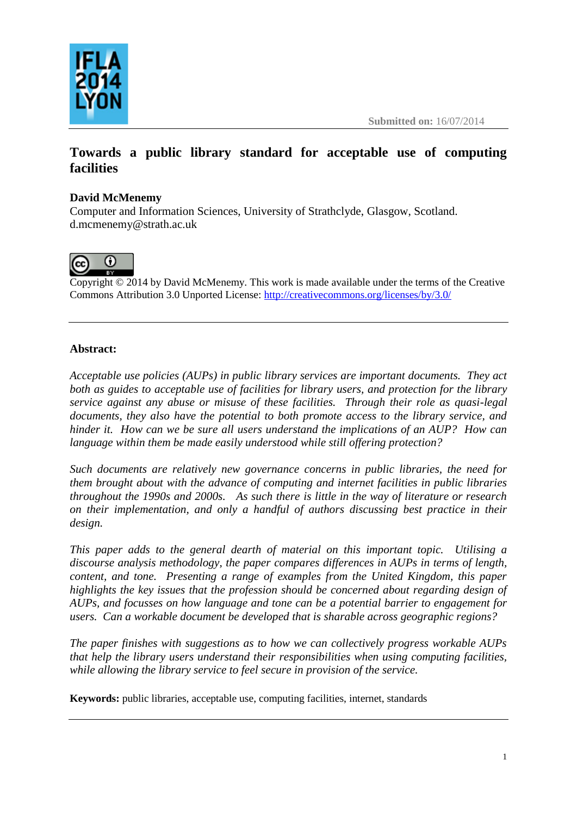



# **Towards a public library standard for acceptable use of computing facilities**

## **David McMenemy**

Computer and Information Sciences, University of Strathclyde, Glasgow, Scotland. d.mcmenemy@strath.ac.uk



Copyright  $\odot$  2014 by David McMenemy. This work is made available under the terms of the Creative Commons Attribution 3.0 Unported License: <http://creativecommons.org/licenses/by/3.0/>

## **Abstract:**

*Acceptable use policies (AUPs) in public library services are important documents. They act both as guides to acceptable use of facilities for library users, and protection for the library service against any abuse or misuse of these facilities. Through their role as quasi-legal documents, they also have the potential to both promote access to the library service, and hinder it. How can we be sure all users understand the implications of an AUP? How can language within them be made easily understood while still offering protection?*

*Such documents are relatively new governance concerns in public libraries, the need for them brought about with the advance of computing and internet facilities in public libraries throughout the 1990s and 2000s. As such there is little in the way of literature or research on their implementation, and only a handful of authors discussing best practice in their design.* 

*This paper adds to the general dearth of material on this important topic. Utilising a discourse analysis methodology, the paper compares differences in AUPs in terms of length, content, and tone. Presenting a range of examples from the United Kingdom, this paper highlights the key issues that the profession should be concerned about regarding design of AUPs, and focusses on how language and tone can be a potential barrier to engagement for users. Can a workable document be developed that is sharable across geographic regions?*

*The paper finishes with suggestions as to how we can collectively progress workable AUPs that help the library users understand their responsibilities when using computing facilities, while allowing the library service to feel secure in provision of the service.*

**Keywords:** public libraries, acceptable use, computing facilities, internet, standards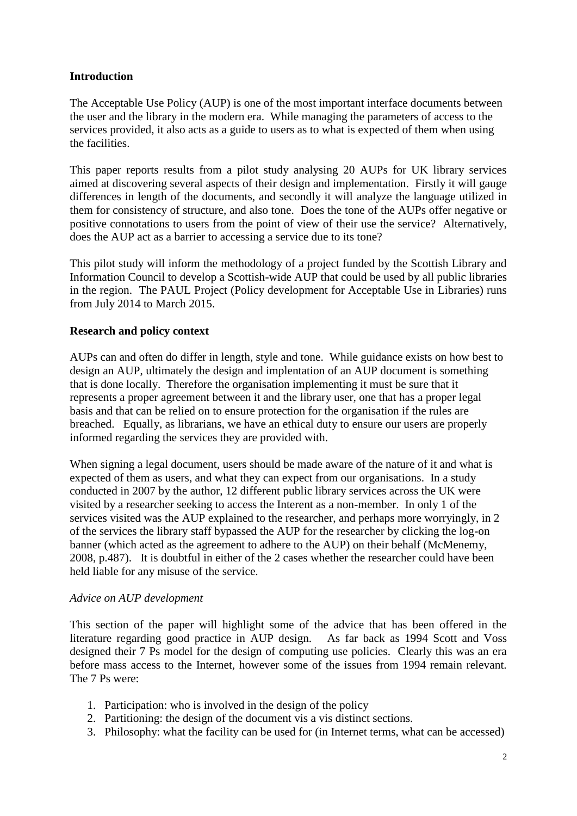## **Introduction**

The Acceptable Use Policy (AUP) is one of the most important interface documents between the user and the library in the modern era. While managing the parameters of access to the services provided, it also acts as a guide to users as to what is expected of them when using the facilities.

This paper reports results from a pilot study analysing 20 AUPs for UK library services aimed at discovering several aspects of their design and implementation. Firstly it will gauge differences in length of the documents, and secondly it will analyze the language utilized in them for consistency of structure, and also tone. Does the tone of the AUPs offer negative or positive connotations to users from the point of view of their use the service? Alternatively, does the AUP act as a barrier to accessing a service due to its tone?

This pilot study will inform the methodology of a project funded by the Scottish Library and Information Council to develop a Scottish-wide AUP that could be used by all public libraries in the region. The PAUL Project (Policy development for Acceptable Use in Libraries) runs from July 2014 to March 2015.

## **Research and policy context**

AUPs can and often do differ in length, style and tone. While guidance exists on how best to design an AUP, ultimately the design and implentation of an AUP document is something that is done locally. Therefore the organisation implementing it must be sure that it represents a proper agreement between it and the library user, one that has a proper legal basis and that can be relied on to ensure protection for the organisation if the rules are breached. Equally, as librarians, we have an ethical duty to ensure our users are properly informed regarding the services they are provided with.

When signing a legal document, users should be made aware of the nature of it and what is expected of them as users, and what they can expect from our organisations. In a study conducted in 2007 by the author, 12 different public library services across the UK were visited by a researcher seeking to access the Interent as a non-member. In only 1 of the services visited was the AUP explained to the researcher, and perhaps more worryingly, in 2 of the services the library staff bypassed the AUP for the researcher by clicking the log-on banner (which acted as the agreement to adhere to the AUP) on their behalf (McMenemy, 2008, p.487). It is doubtful in either of the 2 cases whether the researcher could have been held liable for any misuse of the service.

#### *Advice on AUP development*

This section of the paper will highlight some of the advice that has been offered in the literature regarding good practice in AUP design. As far back as 1994 Scott and Voss designed their 7 Ps model for the design of computing use policies. Clearly this was an era before mass access to the Internet, however some of the issues from 1994 remain relevant. The 7 Ps were:

- 1. Participation: who is involved in the design of the policy
- 2. Partitioning: the design of the document vis a vis distinct sections.
- 3. Philosophy: what the facility can be used for (in Internet terms, what can be accessed)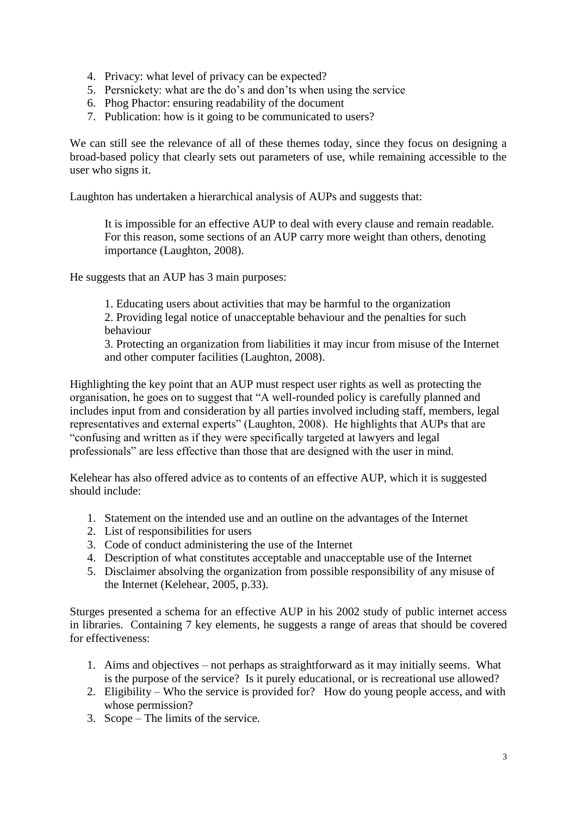- 4. Privacy: what level of privacy can be expected?
- 5. Persnickety: what are the do's and don'ts when using the service
- 6. Phog Phactor: ensuring readability of the document
- 7. Publication: how is it going to be communicated to users?

We can still see the relevance of all of these themes today, since they focus on designing a broad-based policy that clearly sets out parameters of use, while remaining accessible to the user who signs it.

Laughton has undertaken a hierarchical analysis of AUPs and suggests that:

It is impossible for an effective AUP to deal with every clause and remain readable. For this reason, some sections of an AUP carry more weight than others, denoting importance (Laughton, 2008).

He suggests that an AUP has 3 main purposes:

1. Educating users about activities that may be harmful to the organization

2. Providing legal notice of unacceptable behaviour and the penalties for such behaviour

3. Protecting an organization from liabilities it may incur from misuse of the Internet and other computer facilities (Laughton, 2008).

Highlighting the key point that an AUP must respect user rights as well as protecting the organisation, he goes on to suggest that "A well-rounded policy is carefully planned and includes input from and consideration by all parties involved including staff, members, legal representatives and external experts" (Laughton, 2008). He highlights that AUPs that are "confusing and written as if they were specifically targeted at lawyers and legal professionals" are less effective than those that are designed with the user in mind.

Kelehear has also offered advice as to contents of an effective AUP, which it is suggested should include:

- 1. Statement on the intended use and an outline on the advantages of the Internet
- 2. List of responsibilities for users
- 3. Code of conduct administering the use of the Internet
- 4. Description of what constitutes acceptable and unacceptable use of the Internet
- 5. Disclaimer absolving the organization from possible responsibility of any misuse of the Internet (Kelehear, 2005, p.33).

Sturges presented a schema for an effective AUP in his 2002 study of public internet access in libraries. Containing 7 key elements, he suggests a range of areas that should be covered for effectiveness:

- 1. Aims and objectives not perhaps as straightforward as it may initially seems. What is the purpose of the service? Is it purely educational, or is recreational use allowed?
- 2. Eligibility Who the service is provided for? How do young people access, and with whose permission?
- 3. Scope The limits of the service.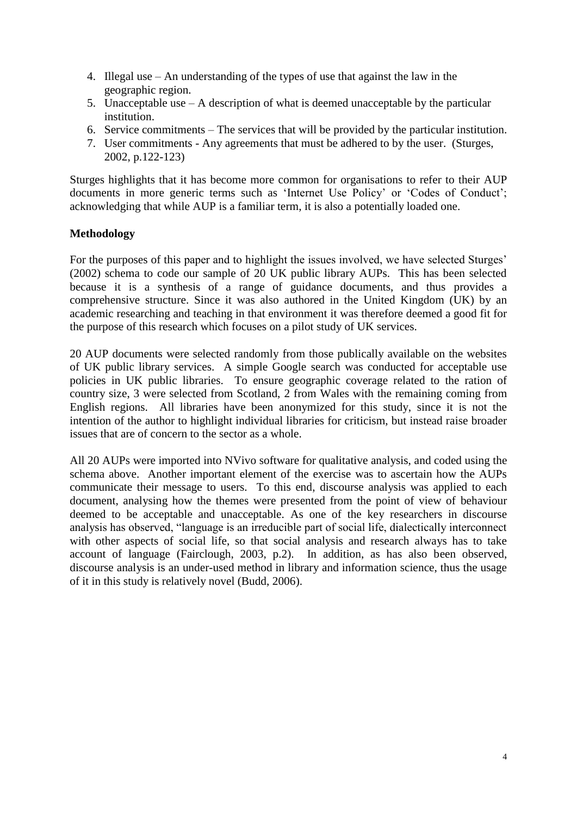- 4. Illegal use An understanding of the types of use that against the law in the geographic region.
- 5. Unacceptable use A description of what is deemed unacceptable by the particular institution.
- 6. Service commitments The services that will be provided by the particular institution.
- 7. User commitments Any agreements that must be adhered to by the user. (Sturges, 2002, p.122-123)

Sturges highlights that it has become more common for organisations to refer to their AUP documents in more generic terms such as 'Internet Use Policy' or 'Codes of Conduct'; acknowledging that while AUP is a familiar term, it is also a potentially loaded one.

## **Methodology**

For the purposes of this paper and to highlight the issues involved, we have selected Sturges' (2002) schema to code our sample of 20 UK public library AUPs. This has been selected because it is a synthesis of a range of guidance documents, and thus provides a comprehensive structure. Since it was also authored in the United Kingdom (UK) by an academic researching and teaching in that environment it was therefore deemed a good fit for the purpose of this research which focuses on a pilot study of UK services.

20 AUP documents were selected randomly from those publically available on the websites of UK public library services. A simple Google search was conducted for acceptable use policies in UK public libraries. To ensure geographic coverage related to the ration of country size, 3 were selected from Scotland, 2 from Wales with the remaining coming from English regions. All libraries have been anonymized for this study, since it is not the intention of the author to highlight individual libraries for criticism, but instead raise broader issues that are of concern to the sector as a whole.

All 20 AUPs were imported into NVivo software for qualitative analysis, and coded using the schema above. Another important element of the exercise was to ascertain how the AUPs communicate their message to users. To this end, discourse analysis was applied to each document, analysing how the themes were presented from the point of view of behaviour deemed to be acceptable and unacceptable. As one of the key researchers in discourse analysis has observed, "language is an irreducible part of social life, dialectically interconnect with other aspects of social life, so that social analysis and research always has to take account of language (Fairclough, 2003, p.2). In addition, as has also been observed, discourse analysis is an under-used method in library and information science, thus the usage of it in this study is relatively novel (Budd, 2006).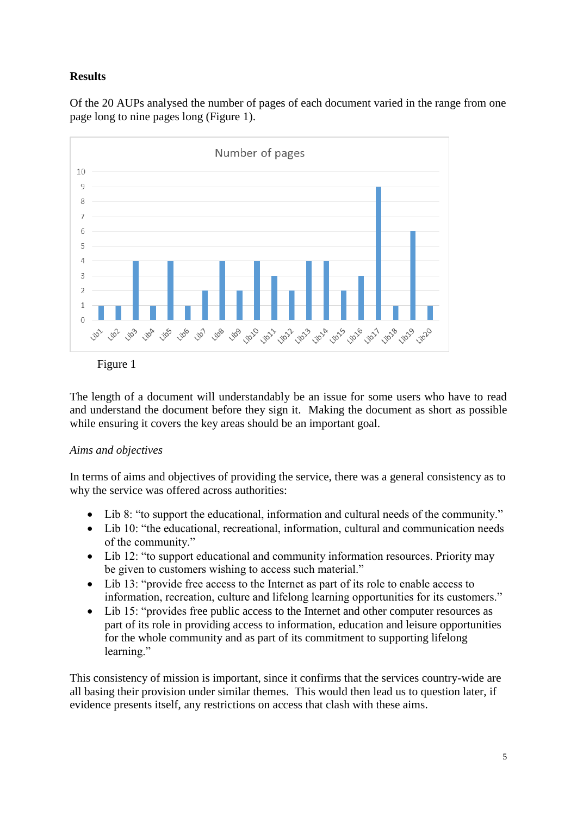# **Results**

Of the 20 AUPs analysed the number of pages of each document varied in the range from one page long to nine pages long (Figure 1).



Figure 1

The length of a document will understandably be an issue for some users who have to read and understand the document before they sign it. Making the document as short as possible while ensuring it covers the key areas should be an important goal.

## *Aims and objectives*

In terms of aims and objectives of providing the service, there was a general consistency as to why the service was offered across authorities:

- Lib 8: "to support the educational, information and cultural needs of the community."
- Lib 10: "the educational, recreational, information, cultural and communication needs of the community."
- Lib 12: "to support educational and community information resources. Priority may be given to customers wishing to access such material."
- Lib 13: "provide free access to the Internet as part of its role to enable access to information, recreation, culture and lifelong learning opportunities for its customers."
- Lib 15: "provides free public access to the Internet and other computer resources as part of its role in providing access to information, education and leisure opportunities for the whole community and as part of its commitment to supporting lifelong learning."

This consistency of mission is important, since it confirms that the services country-wide are all basing their provision under similar themes. This would then lead us to question later, if evidence presents itself, any restrictions on access that clash with these aims.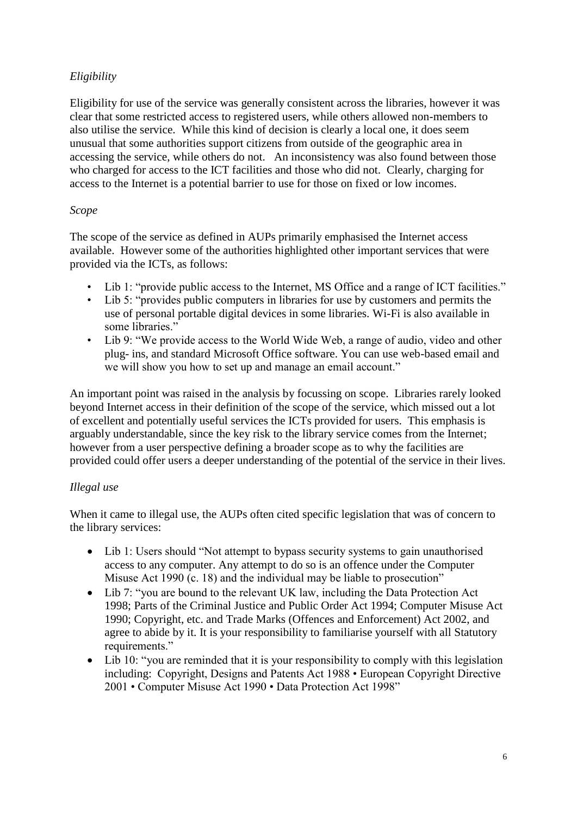## *Eligibility*

Eligibility for use of the service was generally consistent across the libraries, however it was clear that some restricted access to registered users, while others allowed non-members to also utilise the service. While this kind of decision is clearly a local one, it does seem unusual that some authorities support citizens from outside of the geographic area in accessing the service, while others do not. An inconsistency was also found between those who charged for access to the ICT facilities and those who did not. Clearly, charging for access to the Internet is a potential barrier to use for those on fixed or low incomes.

## *Scope*

The scope of the service as defined in AUPs primarily emphasised the Internet access available. However some of the authorities highlighted other important services that were provided via the ICTs, as follows:

- Lib 1: "provide public access to the Internet, MS Office and a range of ICT facilities."
- Lib 5: "provides public computers in libraries for use by customers and permits the use of personal portable digital devices in some libraries. Wi-Fi is also available in some libraries."
- Lib 9: "We provide access to the World Wide Web, a range of audio, video and other plug- ins, and standard Microsoft Office software. You can use web-based email and we will show you how to set up and manage an email account."

An important point was raised in the analysis by focussing on scope. Libraries rarely looked beyond Internet access in their definition of the scope of the service, which missed out a lot of excellent and potentially useful services the ICTs provided for users. This emphasis is arguably understandable, since the key risk to the library service comes from the Internet; however from a user perspective defining a broader scope as to why the facilities are provided could offer users a deeper understanding of the potential of the service in their lives.

## *Illegal use*

When it came to illegal use, the AUPs often cited specific legislation that was of concern to the library services:

- Lib 1: Users should "Not attempt to bypass security systems to gain unauthorised access to any computer. Any attempt to do so is an offence under the Computer Misuse Act 1990 (c. 18) and the individual may be liable to prosecution"
- Lib 7: "you are bound to the relevant UK law, including the Data Protection Act 1998; Parts of the Criminal Justice and Public Order Act 1994; Computer Misuse Act 1990; Copyright, etc. and Trade Marks (Offences and Enforcement) Act 2002, and agree to abide by it. It is your responsibility to familiarise yourself with all Statutory requirements."
- Lib 10: "you are reminded that it is your responsibility to comply with this legislation including: Copyright, Designs and Patents Act 1988 • European Copyright Directive 2001 • Computer Misuse Act 1990 • Data Protection Act 1998"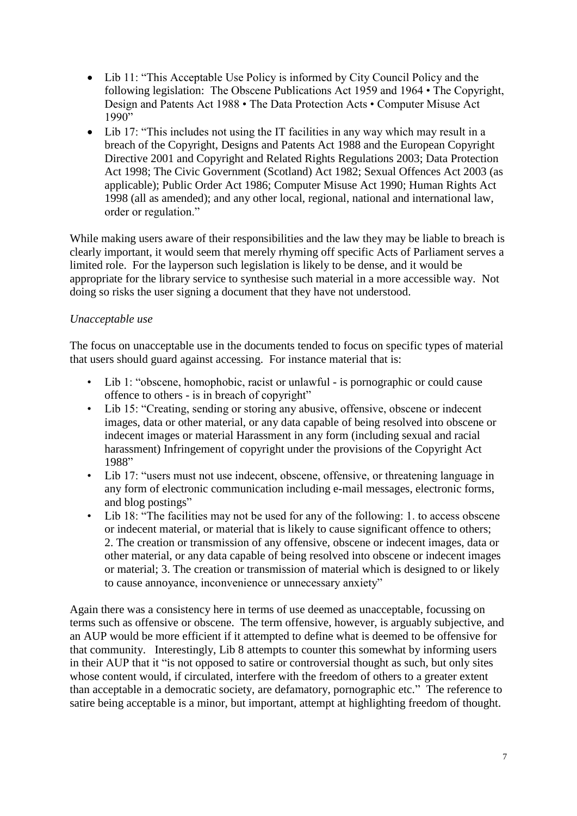- Lib 11: "This Acceptable Use Policy is informed by City Council Policy and the following legislation: The Obscene Publications Act 1959 and 1964 • The Copyright, Design and Patents Act 1988 • The Data Protection Acts • Computer Misuse Act  $1990"$
- Lib 17: "This includes not using the IT facilities in any way which may result in a breach of the Copyright, Designs and Patents Act 1988 and the European Copyright Directive 2001 and Copyright and Related Rights Regulations 2003; Data Protection Act 1998; The Civic Government (Scotland) Act 1982; Sexual Offences Act 2003 (as applicable); Public Order Act 1986; Computer Misuse Act 1990; Human Rights Act 1998 (all as amended); and any other local, regional, national and international law, order or regulation."

While making users aware of their responsibilities and the law they may be liable to breach is clearly important, it would seem that merely rhyming off specific Acts of Parliament serves a limited role. For the layperson such legislation is likely to be dense, and it would be appropriate for the library service to synthesise such material in a more accessible way. Not doing so risks the user signing a document that they have not understood.

## *Unacceptable use*

The focus on unacceptable use in the documents tended to focus on specific types of material that users should guard against accessing. For instance material that is:

- Lib 1: "obscene, homophobic, racist or unlawful is pornographic or could cause offence to others - is in breach of copyright"
- Lib 15: "Creating, sending or storing any abusive, offensive, obscene or indecent images, data or other material, or any data capable of being resolved into obscene or indecent images or material Harassment in any form (including sexual and racial harassment) Infringement of copyright under the provisions of the Copyright Act 1988"
- Lib 17: "users must not use indecent, obscene, offensive, or threatening language in any form of electronic communication including e-mail messages, electronic forms, and blog postings"
- Lib 18: "The facilities may not be used for any of the following: 1. to access obscene or indecent material, or material that is likely to cause significant offence to others; 2. The creation or transmission of any offensive, obscene or indecent images, data or other material, or any data capable of being resolved into obscene or indecent images or material; 3. The creation or transmission of material which is designed to or likely to cause annoyance, inconvenience or unnecessary anxiety"

Again there was a consistency here in terms of use deemed as unacceptable, focussing on terms such as offensive or obscene. The term offensive, however, is arguably subjective, and an AUP would be more efficient if it attempted to define what is deemed to be offensive for that community. Interestingly, Lib 8 attempts to counter this somewhat by informing users in their AUP that it "is not opposed to satire or controversial thought as such, but only sites whose content would, if circulated, interfere with the freedom of others to a greater extent than acceptable in a democratic society, are defamatory, pornographic etc." The reference to satire being acceptable is a minor, but important, attempt at highlighting freedom of thought.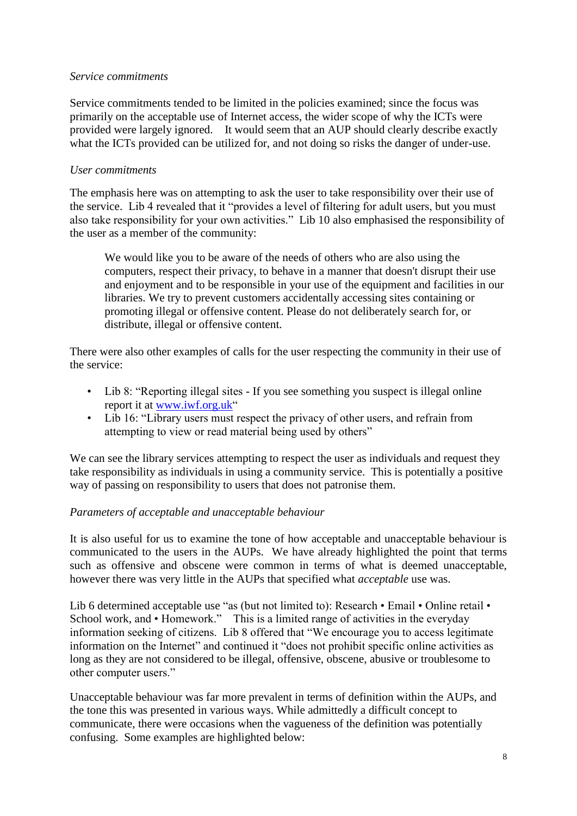#### *Service commitments*

Service commitments tended to be limited in the policies examined; since the focus was primarily on the acceptable use of Internet access, the wider scope of why the ICTs were provided were largely ignored. It would seem that an AUP should clearly describe exactly what the ICTs provided can be utilized for, and not doing so risks the danger of under-use.

#### *User commitments*

The emphasis here was on attempting to ask the user to take responsibility over their use of the service. Lib 4 revealed that it "provides a level of filtering for adult users, but you must also take responsibility for your own activities." Lib 10 also emphasised the responsibility of the user as a member of the community:

We would like you to be aware of the needs of others who are also using the computers, respect their privacy, to behave in a manner that doesn't disrupt their use and enjoyment and to be responsible in your use of the equipment and facilities in our libraries. We try to prevent customers accidentally accessing sites containing or promoting illegal or offensive content. Please do not deliberately search for, or distribute, illegal or offensive content.

There were also other examples of calls for the user respecting the community in their use of the service:

- Lib 8: "Reporting illegal sites If you see something you suspect is illegal online report it at [www.iwf.org.uk"](http://www.iwf.org.uk/)
- Lib 16: "Library users must respect the privacy of other users, and refrain from attempting to view or read material being used by others"

We can see the library services attempting to respect the user as individuals and request they take responsibility as individuals in using a community service. This is potentially a positive way of passing on responsibility to users that does not patronise them.

## *Parameters of acceptable and unacceptable behaviour*

It is also useful for us to examine the tone of how acceptable and unacceptable behaviour is communicated to the users in the AUPs. We have already highlighted the point that terms such as offensive and obscene were common in terms of what is deemed unacceptable, however there was very little in the AUPs that specified what *acceptable* use was.

Lib 6 determined acceptable use "as (but not limited to): Research • Email • Online retail • School work, and • Homework." This is a limited range of activities in the everyday information seeking of citizens. Lib 8 offered that "We encourage you to access legitimate information on the Internet" and continued it "does not prohibit specific online activities as long as they are not considered to be illegal, offensive, obscene, abusive or troublesome to other computer users."

Unacceptable behaviour was far more prevalent in terms of definition within the AUPs, and the tone this was presented in various ways. While admittedly a difficult concept to communicate, there were occasions when the vagueness of the definition was potentially confusing. Some examples are highlighted below: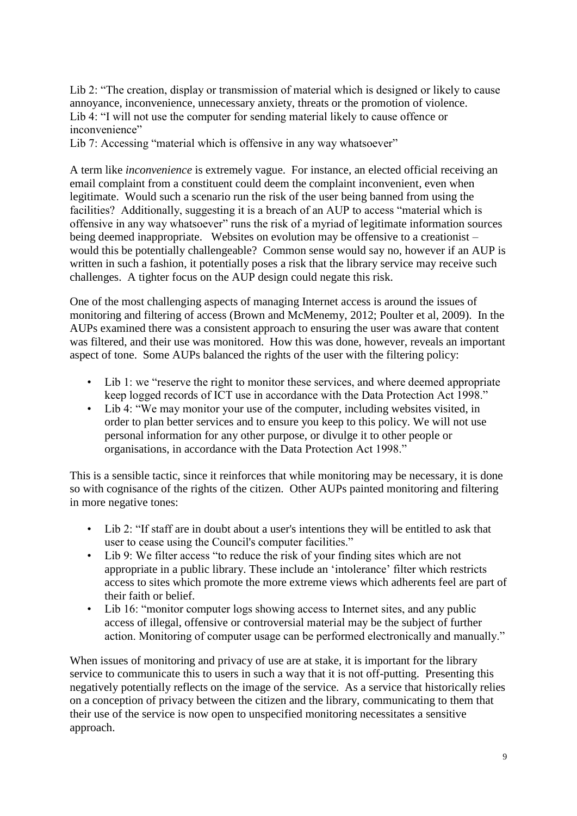Lib 2: "The creation, display or transmission of material which is designed or likely to cause annoyance, inconvenience, unnecessary anxiety, threats or the promotion of violence. Lib 4: "I will not use the computer for sending material likely to cause offence or inconvenience"

Lib 7: Accessing "material which is offensive in any way whatsoever"

A term like *inconvenience* is extremely vague. For instance, an elected official receiving an email complaint from a constituent could deem the complaint inconvenient, even when legitimate. Would such a scenario run the risk of the user being banned from using the facilities? Additionally, suggesting it is a breach of an AUP to access "material which is offensive in any way whatsoever" runs the risk of a myriad of legitimate information sources being deemed inappropriate. Websites on evolution may be offensive to a creationist – would this be potentially challengeable? Common sense would say no, however if an AUP is written in such a fashion, it potentially poses a risk that the library service may receive such challenges. A tighter focus on the AUP design could negate this risk.

One of the most challenging aspects of managing Internet access is around the issues of monitoring and filtering of access (Brown and McMenemy, 2012; Poulter et al, 2009). In the AUPs examined there was a consistent approach to ensuring the user was aware that content was filtered, and their use was monitored. How this was done, however, reveals an important aspect of tone. Some AUPs balanced the rights of the user with the filtering policy:

- Lib 1: we "reserve the right to monitor these services, and where deemed appropriate keep logged records of ICT use in accordance with the Data Protection Act 1998."
- Lib 4: "We may monitor your use of the computer, including websites visited, in order to plan better services and to ensure you keep to this policy. We will not use personal information for any other purpose, or divulge it to other people or organisations, in accordance with the Data Protection Act 1998."

This is a sensible tactic, since it reinforces that while monitoring may be necessary, it is done so with cognisance of the rights of the citizen. Other AUPs painted monitoring and filtering in more negative tones:

- Lib 2: "If staff are in doubt about a user's intentions they will be entitled to ask that user to cease using the Council's computer facilities."
- Lib 9: We filter access "to reduce the risk of your finding sites which are not appropriate in a public library. These include an 'intolerance' filter which restricts access to sites which promote the more extreme views which adherents feel are part of their faith or belief.
- Lib 16: "monitor computer logs showing access to Internet sites, and any public access of illegal, offensive or controversial material may be the subject of further action. Monitoring of computer usage can be performed electronically and manually."

When issues of monitoring and privacy of use are at stake, it is important for the library service to communicate this to users in such a way that it is not off-putting. Presenting this negatively potentially reflects on the image of the service. As a service that historically relies on a conception of privacy between the citizen and the library, communicating to them that their use of the service is now open to unspecified monitoring necessitates a sensitive approach.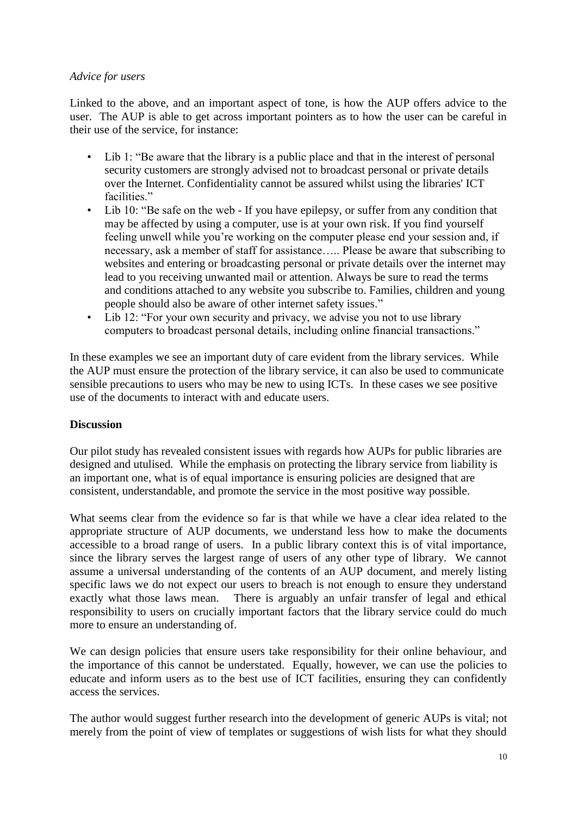### *Advice for users*

Linked to the above, and an important aspect of tone, is how the AUP offers advice to the user. The AUP is able to get across important pointers as to how the user can be careful in their use of the service, for instance:

- Lib 1: "Be aware that the library is a public place and that in the interest of personal security customers are strongly advised not to broadcast personal or private details over the Internet. Confidentiality cannot be assured whilst using the libraries' ICT facilities."
- Lib 10: "Be safe on the web If you have epilepsy, or suffer from any condition that may be affected by using a computer, use is at your own risk. If you find yourself feeling unwell while you're working on the computer please end your session and, if necessary, ask a member of staff for assistance….. Please be aware that subscribing to websites and entering or broadcasting personal or private details over the internet may lead to you receiving unwanted mail or attention. Always be sure to read the terms and conditions attached to any website you subscribe to. Families, children and young people should also be aware of other internet safety issues."
- Lib 12: "For your own security and privacy, we advise you not to use library computers to broadcast personal details, including online financial transactions."

In these examples we see an important duty of care evident from the library services. While the AUP must ensure the protection of the library service, it can also be used to communicate sensible precautions to users who may be new to using ICTs. In these cases we see positive use of the documents to interact with and educate users.

## **Discussion**

Our pilot study has revealed consistent issues with regards how AUPs for public libraries are designed and utulised. While the emphasis on protecting the library service from liability is an important one, what is of equal importance is ensuring policies are designed that are consistent, understandable, and promote the service in the most positive way possible.

What seems clear from the evidence so far is that while we have a clear idea related to the appropriate structure of AUP documents, we understand less how to make the documents accessible to a broad range of users. In a public library context this is of vital importance, since the library serves the largest range of users of any other type of library. We cannot assume a universal understanding of the contents of an AUP document, and merely listing specific laws we do not expect our users to breach is not enough to ensure they understand exactly what those laws mean. There is arguably an unfair transfer of legal and ethical responsibility to users on crucially important factors that the library service could do much more to ensure an understanding of.

We can design policies that ensure users take responsibility for their online behaviour, and the importance of this cannot be understated. Equally, however, we can use the policies to educate and inform users as to the best use of ICT facilities, ensuring they can confidently access the services.

The author would suggest further research into the development of generic AUPs is vital; not merely from the point of view of templates or suggestions of wish lists for what they should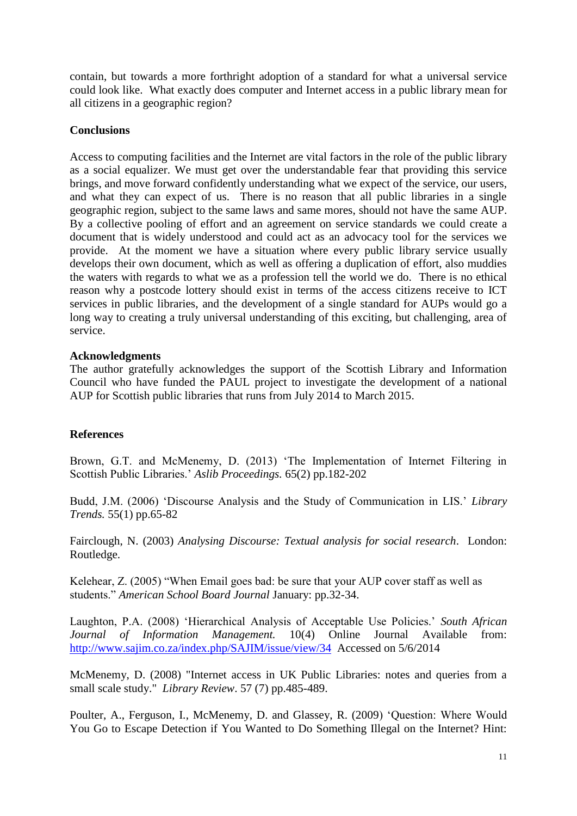contain, but towards a more forthright adoption of a standard for what a universal service could look like. What exactly does computer and Internet access in a public library mean for all citizens in a geographic region?

### **Conclusions**

Access to computing facilities and the Internet are vital factors in the role of the public library as a social equalizer. We must get over the understandable fear that providing this service brings, and move forward confidently understanding what we expect of the service, our users, and what they can expect of us. There is no reason that all public libraries in a single geographic region, subject to the same laws and same mores, should not have the same AUP. By a collective pooling of effort and an agreement on service standards we could create a document that is widely understood and could act as an advocacy tool for the services we provide. At the moment we have a situation where every public library service usually develops their own document, which as well as offering a duplication of effort, also muddies the waters with regards to what we as a profession tell the world we do. There is no ethical reason why a postcode lottery should exist in terms of the access citizens receive to ICT services in public libraries, and the development of a single standard for AUPs would go a long way to creating a truly universal understanding of this exciting, but challenging, area of service.

### **Acknowledgments**

The author gratefully acknowledges the support of the Scottish Library and Information Council who have funded the PAUL project to investigate the development of a national AUP for Scottish public libraries that runs from July 2014 to March 2015.

## **References**

Brown, G.T. and McMenemy, D. (2013) 'The Implementation of Internet Filtering in Scottish Public Libraries.' *Aslib Proceedings.* 65(2) pp.182-202

Budd, J.M. (2006) 'Discourse Analysis and the Study of Communication in LIS.' *Library Trends.* 55(1) pp.65-82

Fairclough, N. (2003) *Analysing Discourse: Textual analysis for social research*. London: Routledge.

Kelehear, Z. (2005) "When Email goes bad: be sure that your AUP cover staff as well as students." *American School Board Journal* January: pp.32-34.

Laughton, P.A. (2008) 'Hierarchical Analysis of Acceptable Use Policies.' *South African Journal of Information Management.* 10(4) Online Journal Available from: <http://www.sajim.co.za/index.php/SAJIM/issue/view/34>Accessed on 5/6/2014

McMenemy, D. (2008) "Internet access in UK Public Libraries: notes and queries from a small scale study." *Library Review*. 57 (7) pp.485-489.

Poulter, A., Ferguson, I., McMenemy, D. and Glassey, R. (2009) 'Question: Where Would You Go to Escape Detection if You Wanted to Do Something Illegal on the Internet? Hint: